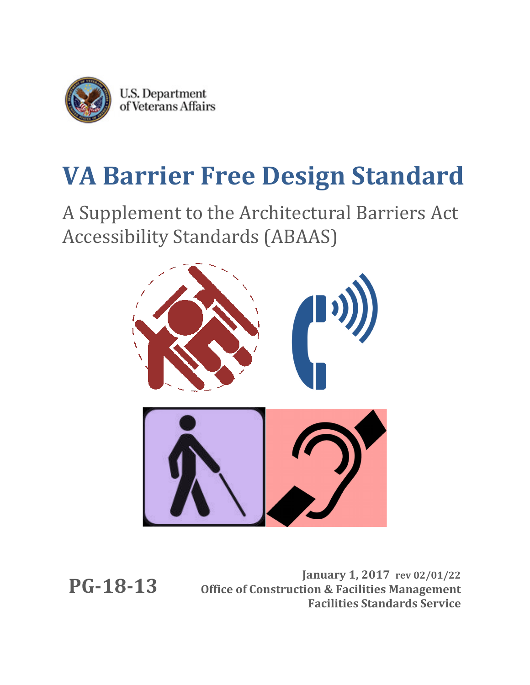

# **VA Barrier Free Design Standard**

A Supplement to the Architectural Barriers Act Accessibility Standards (ABAAS)



**PG-18-13**

**January 1, 2017 rev 02/01/22 Office of Construction & Facilities Management Facilities Standards Service**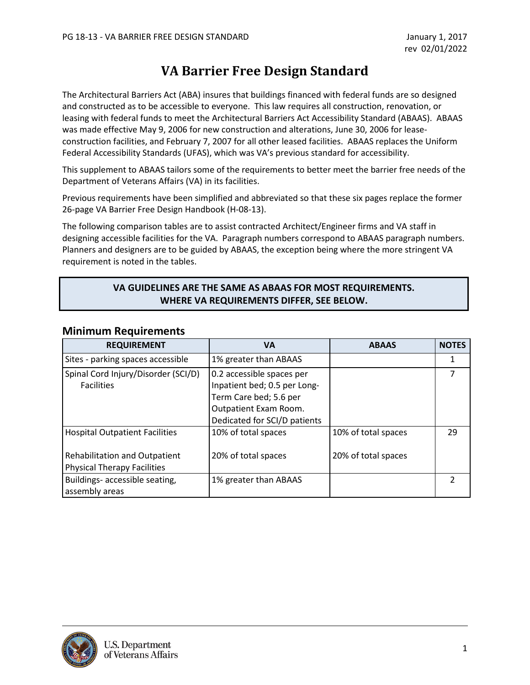# **VA Barrier Free Design Standard**

The Architectural Barriers Act (ABA) insures that buildings financed with federal funds are so designed and constructed as to be accessible to everyone. This law requires all construction, renovation, or leasing with federal funds to meet the [Architectural Barriers Act Accessibility Standard \(ABAAS\).](http://www.access-board.gov/ada-aba/aba-standards-gsa.cfm) ABAAS was made effective May 9, 2006 for new construction and alterations, June 30, 2006 for leaseconstruction facilities, and February 7, 2007 for all other leased facilities. ABAAS replaces the [Uniform](http://www.access-board.gov/ufas/ufas-html/ufas.htm)  [Federal Accessibility Standards \(UFAS\),](http://www.access-board.gov/ufas/ufas-html/ufas.htm) which was VA's previous standard for accessibility.

This supplement to ABAAS tailors some of the requirements to better meet the barrier free needs of the Department of Veterans Affairs (VA) in its facilities.

Previous requirements have been simplified and abbreviated so that these six pages replace the former 26-page VA Barrier Free Design Handbook (H-08-13).

The following comparison tables are to assist contracted Architect/Engineer firms and VA staff in designing accessible facilities for the VA. Paragraph numbers correspond to ABAAS paragraph numbers. Planners and designers are to be guided by ABAAS, the exception being where the more stringent VA requirement is noted in the tables.

#### **VA GUIDELINES ARE THE SAME AS ABAAS FOR MOST REQUIREMENTS. WHERE VA REQUIREMENTS DIFFER, SEE BELOW.**

| <b>REQUIREMENT</b>                                                                                                  | VА                                                                                                                                           | <b>ABAAS</b>                               | <b>NOTES</b>  |
|---------------------------------------------------------------------------------------------------------------------|----------------------------------------------------------------------------------------------------------------------------------------------|--------------------------------------------|---------------|
| Sites - parking spaces accessible                                                                                   | 1% greater than ABAAS                                                                                                                        |                                            | 1             |
| Spinal Cord Injury/Disorder (SCI/D)<br><b>Facilities</b>                                                            | 0.2 accessible spaces per<br>Inpatient bed; 0.5 per Long-<br>Term Care bed; 5.6 per<br>Outpatient Exam Room.<br>Dedicated for SCI/D patients |                                            | 7             |
| <b>Hospital Outpatient Facilities</b><br><b>Rehabilitation and Outpatient</b><br><b>Physical Therapy Facilities</b> | 10% of total spaces<br>20% of total spaces                                                                                                   | 10% of total spaces<br>20% of total spaces | 29            |
| Buildings- accessible seating,<br>assembly areas                                                                    | 1% greater than ABAAS                                                                                                                        |                                            | $\mathfrak z$ |

#### **Minimum Requirements**

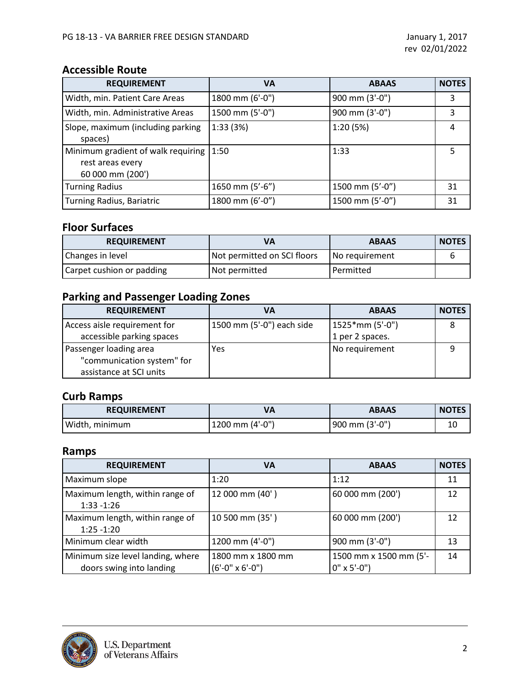# **Accessible Route**

| <b>REQUIREMENT</b>                                                                 | VA              | <b>ABAAS</b>    | <b>NOTES</b> |
|------------------------------------------------------------------------------------|-----------------|-----------------|--------------|
| Width, min. Patient Care Areas                                                     | 1800 mm (6'-0") | 900 mm (3'-0")  | 3            |
| Width, min. Administrative Areas                                                   | 1500 mm (5'-0") | 900 mm (3'-0")  | 3            |
| Slope, maximum (including parking<br>spaces)                                       | 1:33(3%)        | 1:20(5%)        | 4            |
| Minimum gradient of walk requiring $ 1:50$<br>rest areas every<br>60 000 mm (200') |                 | 1:33            | 5            |
| <b>Turning Radius</b>                                                              | 1650 mm (5'-6") | 1500 mm (5'-0") | 31           |
| <b>Turning Radius, Bariatric</b>                                                   | 1800 mm (6'-0") | 1500 mm (5'-0") | 31           |

## **Floor Surfaces**

| <b>REQUIREMENT</b>        | VA                          | <b>ABAAS</b>   | <b>NOTES</b> |
|---------------------------|-----------------------------|----------------|--------------|
| Changes in level          | Not permitted on SCI floors | No requirement | n            |
| Carpet cushion or padding | Not permitted               | l Permitted    |              |

# **Parking and Passenger Loading Zones**

| <b>REQUIREMENT</b>           | VA                        | <b>ABAAS</b>    | <b>NOTES</b> |
|------------------------------|---------------------------|-----------------|--------------|
| Access aisle requirement for | 1500 mm (5'-0") each side | 1525*mm (5'-0") |              |
| accessible parking spaces    |                           | 1 per 2 spaces. |              |
| Passenger loading area       | Yes                       | No requirement  |              |
| "communication system" for   |                           |                 |              |
| assistance at SCI units      |                           |                 |              |

# **Curb Ramps**

| <b>REQUIREMENT</b> |                      | <b>ABAAS</b>   | <b>NOTES</b> |
|--------------------|----------------------|----------------|--------------|
| Width, minimum     | $1200$ mm $(4'-0'')$ | 900 mm (3'-0") | 10           |

#### **Ramps**

| <b>REQUIREMENT</b>                                            | VA                                            | <b>ABAAS</b>                                 | <b>NOTES</b> |
|---------------------------------------------------------------|-----------------------------------------------|----------------------------------------------|--------------|
| Maximum slope                                                 | 1:20                                          | 1:12                                         | 11           |
| Maximum length, within range of<br>$1:33 - 1:26$              | 12 000 mm (40')                               | 60 000 mm (200')                             | 12           |
| Maximum length, within range of<br>$1:25 - 1:20$              | 10 500 mm (35')                               | 60 000 mm (200')                             | 12           |
| Minimum clear width                                           | 1200 mm (4'-0")                               | 900 mm (3'-0")                               | 13           |
| Minimum size level landing, where<br>doors swing into landing | 1800 mm x 1800 mm<br>$(6'-0'' \times 6'-0'')$ | 1500 mm x 1500 mm (5'-<br>$0'' \times 5'-0'$ | 14           |

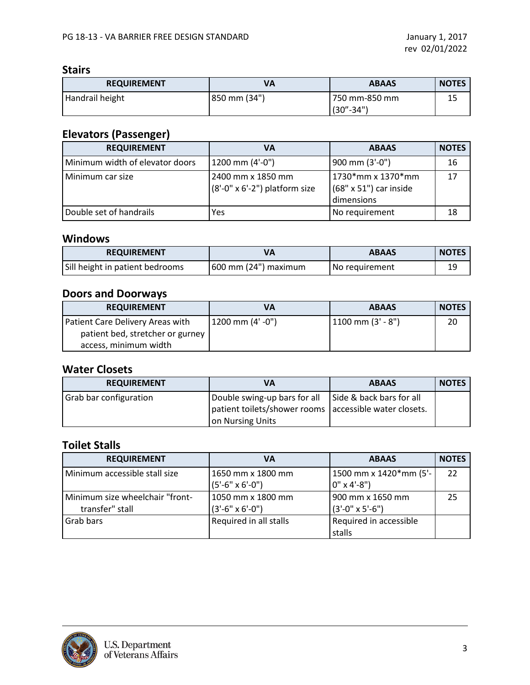#### **Stairs**

| <b>REQUIREMENT</b> | VA           | <b>ABAAS</b>  | <b>NOTES</b> |
|--------------------|--------------|---------------|--------------|
| Handrail height    | 850 mm (34") | 750 mm-850 mm | 15           |
|                    |              | $(30 - 34)$   |              |

# **Elevators (Passenger)**

| <b>REQUIREMENT</b>              | VA                                                          | <b>ABAAS</b>                                                     | <b>NOTES</b> |
|---------------------------------|-------------------------------------------------------------|------------------------------------------------------------------|--------------|
| Minimum width of elevator doors | 1200 mm (4'-0")                                             | 900 mm (3'-0")                                                   | 16           |
| Minimum car size                | 2400 mm x 1850 mm<br>$(8'-0'' \times 6'-2'')$ platform size | 1730*mm x 1370*mm<br>$(68" \times 51")$ car inside<br>dimensions | 17           |
| Double set of handrails         | Yes                                                         | No requirement                                                   | 18           |

#### **Windows**

| <b>REQUIREMENT</b>              |                      | <b>ABAAS</b>   | <b>NOTES</b> |
|---------------------------------|----------------------|----------------|--------------|
| Sill height in patient bedrooms | 600 mm (24") maximum | No requirement | 19           |

# **Doors and Doorways**

| <b>REQUIREMENT</b>               | VA               | <b>ABAAS</b>           | <b>NOTES</b> |
|----------------------------------|------------------|------------------------|--------------|
| Patient Care Delivery Areas with | 1200 mm (4' -0") | $1100$ mm $(3' - 8'')$ | 20           |
| patient bed, stretcher or gurney |                  |                        |              |
| access, minimum width            |                  |                        |              |

# **Water Closets**

| <b>REQUIREMENT</b>            | VA                                                                                                                                    | <b>ABAAS</b> | <b>NOTES</b> |
|-------------------------------|---------------------------------------------------------------------------------------------------------------------------------------|--------------|--------------|
| <b>Grab bar configuration</b> | Double swing-up bars for all   Side & back bars for all<br>patient toilets/shower rooms accessible water closets.<br>on Nursing Units |              |              |

# **Toilet Stalls**

| <b>REQUIREMENT</b>                                 | VA                                            | <b>ABAAS</b>                                   | <b>NOTES</b> |
|----------------------------------------------------|-----------------------------------------------|------------------------------------------------|--------------|
| Minimum accessible stall size                      | 1650 mm x 1800 mm<br>$(5'-6'' \times 6'-0'')$ | 1500 mm x 1420*mm (5'-<br>$0'' \times 4' - 8'$ | 22           |
| Minimum size wheelchair "front-<br>transfer" stall | 1050 mm x 1800 mm<br>$(3'-6'' \times 6'-0'')$ | 900 mm x 1650 mm<br>$(3'-0'' \times 5'-6'')$   | 25           |
| Grab bars                                          | Required in all stalls                        | Required in accessible<br>stalls               |              |

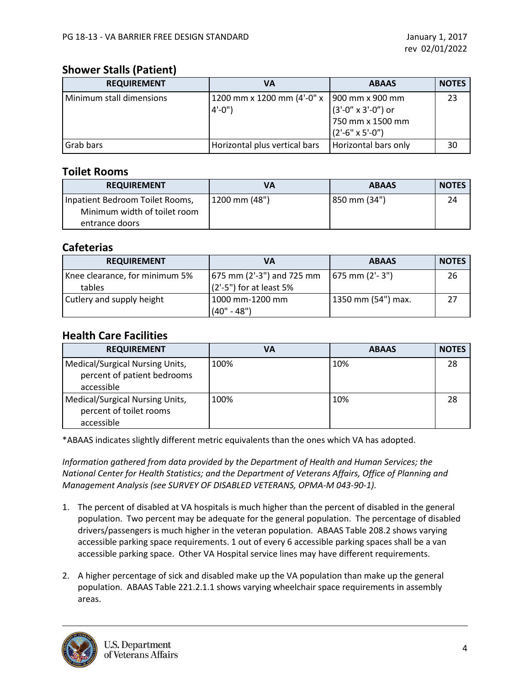#### **Shower Stalls (Patient)**

| <b>REQUIREMENT</b>       | VA                                                        | <b>ABAAS</b>                                                              | <b>NOTES</b> |
|--------------------------|-----------------------------------------------------------|---------------------------------------------------------------------------|--------------|
| Minimum stall dimensions | 1200 mm x 1200 mm (4'-0" x   900 mm x 900 mm<br>$4'-0'$ ) | $(3'-0'' \times 3'-0'')$ or<br>750 mm x 1500 mm<br>$(2'-6" \times 5'-0")$ | 23           |
| Grab bars                | Horizontal plus vertical bars                             | Horizontal bars only                                                      | 30           |

#### **Toilet Rooms**

| <b>REQUIREMENT</b>                                                                | VА                | <b>ABAAS</b> | <b>NOTES</b> |
|-----------------------------------------------------------------------------------|-------------------|--------------|--------------|
| Inpatient Bedroom Toilet Rooms,<br>Minimum width of toilet room<br>entrance doors | $1200$ mm $(48")$ | 850 mm (34") | 24           |

#### **Cafeterias**

| <b>REQUIREMENT</b>                       | VA                                                         | <b>ABAAS</b>         | <b>NOTES</b> |
|------------------------------------------|------------------------------------------------------------|----------------------|--------------|
| Knee clearance, for minimum 5%<br>tables | $(675$ mm $(2'-3'')$ and 725 mm<br>(2'-5") for at least 5% | $(675$ mm $(2'-3'')$ | 26           |
| Cutlery and supply height                | 1000 mm-1200 mm<br>$(40" - 48")$                           | 1350 mm (54") max.   | 27           |

## **Health Care Facilities**

| <b>REQUIREMENT</b>                                                           | <b>VA</b> | <b>ABAAS</b> | <b>NOTES</b> |
|------------------------------------------------------------------------------|-----------|--------------|--------------|
| Medical/Surgical Nursing Units,<br>percent of patient bedrooms<br>accessible | 100%      | 10%          | 28           |
| Medical/Surgical Nursing Units,<br>percent of toilet rooms<br>accessible     | 100%      | 10%          | 28           |

\*ABAAS indicates slightly different metric equivalents than the ones which VA has adopted.

*Information gathered from data provided by the Department of Health and Human Services; the National Center for Health Statistics; and the Department of Veterans Affairs, Office of Planning and Management Analysis (see SURVEY OF DISABLED VETERANS, OPMA-M 043-90-1).*

- 1. The percent of disabled at VA hospitals is much higher than the percent of disabled in the general population. Two percent may be adequate for the general population. The percentage of disabled drivers/passengers is much higher in the veteran population. ABAAS Table 208.2 shows varying accessible parking space requirements. 1 out of every 6 accessible parking spaces shall be a van accessible parking space. Other VA Hospital service lines may have different requirements.
- 2. A higher percentage of sick and disabled make up the VA population than make up the general population. ABAAS Table 221.2.1.1 shows varying wheelchair space requirements in assembly areas.

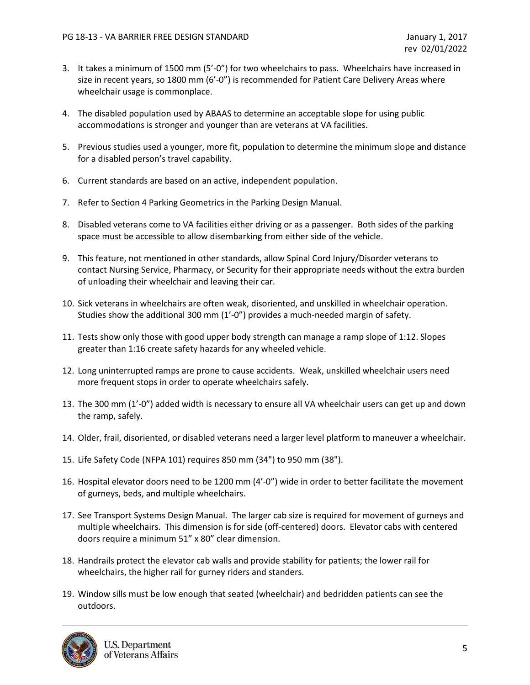- 3. It takes a minimum of 1500 mm (5'-0") for two wheelchairs to pass. Wheelchairs have increased in size in recent years, so 1800 mm (6'-0") is recommended for Patient Care Delivery Areas where wheelchair usage is commonplace.
- 4. The disabled population used by ABAAS to determine an acceptable slope for using public accommodations is stronger and younger than are veterans at VA facilities.
- 5. Previous studies used a younger, more fit, population to determine the minimum slope and distance for a disabled person's travel capability.
- 6. Current standards are based on an active, independent population.
- 7. Refer to Section 4 Parking Geometrics in the Parking Design Manual.
- 8. Disabled veterans come to VA facilities either driving or as a passenger. Both sides of the parking space must be accessible to allow disembarking from either side of the vehicle.
- 9. This feature, not mentioned in other standards, allow Spinal Cord Injury/Disorder veterans to contact Nursing Service, Pharmacy, or Security for their appropriate needs without the extra burden of unloading their wheelchair and leaving their car.
- 10. Sick veterans in wheelchairs are often weak, disoriented, and unskilled in wheelchair operation. Studies show the additional 300 mm (1'-0") provides a much-needed margin of safety.
- 11. Tests show only those with good upper body strength can manage a ramp slope of 1:12. Slopes greater than 1:16 create safety hazards for any wheeled vehicle.
- 12. Long uninterrupted ramps are prone to cause accidents. Weak, unskilled wheelchair users need more frequent stops in order to operate wheelchairs safely.
- 13. The 300 mm (1'-0") added width is necessary to ensure all VA wheelchair users can get up and down the ramp, safely.
- 14. Older, frail, disoriented, or disabled veterans need a larger level platform to maneuver a wheelchair.
- 15. Life Safety Code (NFPA 101) requires 850 mm (34") to 950 mm (38").
- 16. Hospital elevator doors need to be 1200 mm (4'-0") wide in order to better facilitate the movement of gurneys, beds, and multiple wheelchairs.
- 17. See Transport Systems Design Manual. The larger cab size is required for movement of gurneys and multiple wheelchairs. This dimension is for side (off-centered) doors. Elevator cabs with centered doors require a minimum 51" x 80" clear dimension.
- 18. Handrails protect the elevator cab walls and provide stability for patients; the lower rail for wheelchairs, the higher rail for gurney riders and standers.
- 19. Window sills must be low enough that seated (wheelchair) and bedridden patients can see the outdoors.